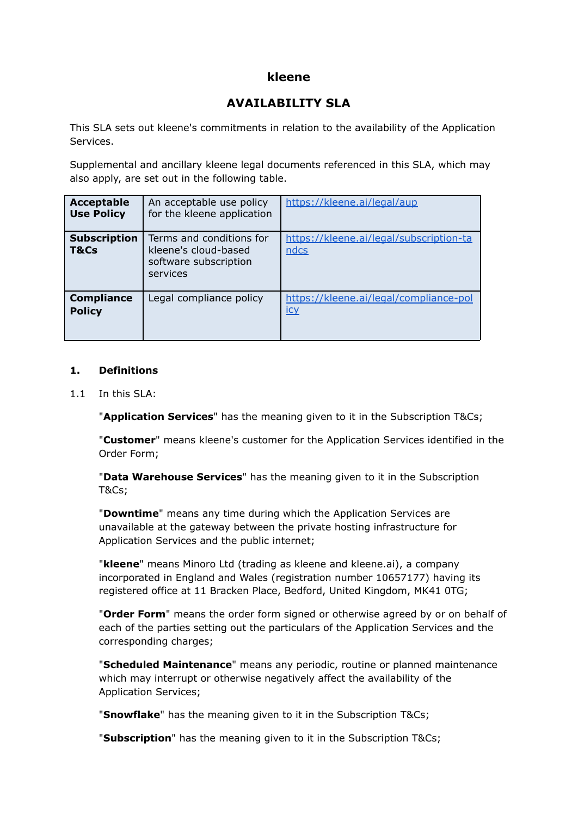# **kleene**

# **AVAILABILITY SLA**

This SLA sets out kleene's commitments in relation to the availability of the Application Services.

Supplemental and ancillary kleene legal documents referenced in this SLA, which may also apply, are set out in the following table.

| <b>Acceptable</b><br><b>Use Policy</b> | An acceptable use policy<br>for the kleene application                                | https://kleene.ai/legal/aup                          |
|----------------------------------------|---------------------------------------------------------------------------------------|------------------------------------------------------|
| <b>Subscription</b><br>T&Cs            | Terms and conditions for<br>kleene's cloud-based<br>software subscription<br>services | https://kleene.ai/legal/subscription-ta<br>ndcs      |
| <b>Compliance</b><br><b>Policy</b>     | Legal compliance policy                                                               | https://kleene.ai/legal/compliance-pol<br><u>icy</u> |

#### **1. Definitions**

1.1 In this SLA:

"**Application Services**" has the meaning given to it in the Subscription T&Cs;

"**Customer**" means kleene's customer for the Application Services identified in the Order Form;

"**Data Warehouse Services**" has the meaning given to it in the Subscription T&Cs;

"**Downtime**" means any time during which the Application Services are unavailable at the gateway between the private hosting infrastructure for Application Services and the public internet;

"**kleene**" means Minoro Ltd (trading as kleene and kleene.ai), a company incorporated in England and Wales (registration number 10657177) having its registered office at 11 Bracken Place, Bedford, United Kingdom, MK41 0TG;

"**Order Form**" means the order form signed or otherwise agreed by or on behalf of each of the parties setting out the particulars of the Application Services and the corresponding charges;

"**Scheduled Maintenance**" means any periodic, routine or planned maintenance which may interrupt or otherwise negatively affect the availability of the Application Services;

"**Snowflake**" has the meaning given to it in the Subscription T&Cs;

"**Subscription**" has the meaning given to it in the Subscription T&Cs;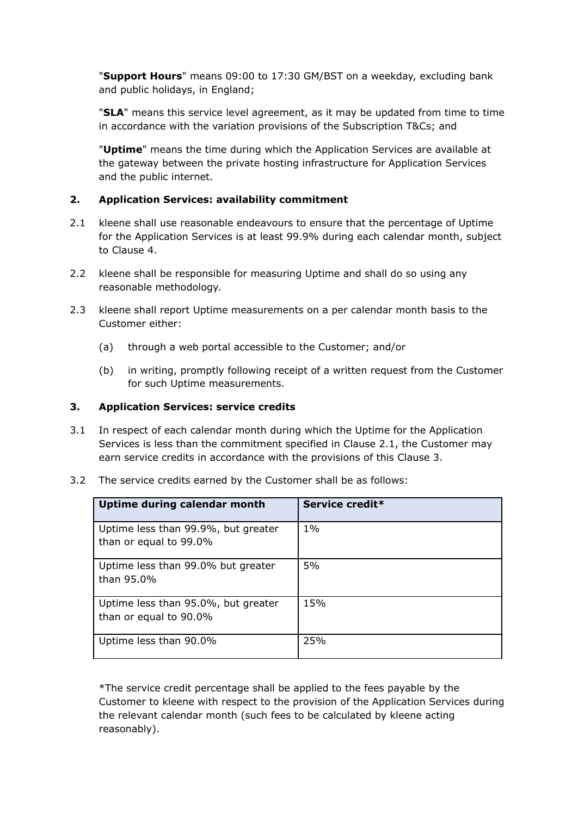"**Support Hours**" means 09:00 to 17:30 GM/BST on a weekday, excluding bank and public holidays, in England;

"**SLA**" means this service level agreement, as it may be updated from time to time in accordance with the variation provisions of the Subscription T&Cs; and

"**Uptime**" means the time during which the Application Services are available at the gateway between the private hosting infrastructure for Application Services and the public internet.

#### **2. Application Services: availability commitment**

- 2.1 kleene shall use reasonable endeavours to ensure that the percentage of Uptime for the Application Services is at least 99.9% during each calendar month, subject to Clause 4.
- 2.2 kleene shall be responsible for measuring Uptime and shall do so using any reasonable methodology.
- 2.3 kleene shall report Uptime measurements on a per calendar month basis to the Customer either:
	- (a) through a web portal accessible to the Customer; and/or
	- (b) in writing, promptly following receipt of a written request from the Customer for such Uptime measurements.

#### **3. Application Services: service credits**

- 3.1 In respect of each calendar month during which the Uptime for the Application Services is less than the commitment specified in Clause 2.1, the Customer may earn service credits in accordance with the provisions of this Clause 3.
- 3.2 The service credits earned by the Customer shall be as follows:

| Uptime during calendar month                                  | Service credit* |
|---------------------------------------------------------------|-----------------|
| Uptime less than 99.9%, but greater<br>than or equal to 99.0% | $1\%$           |
| Uptime less than 99.0% but greater<br>than 95.0%              | 5%              |
| Uptime less than 95.0%, but greater<br>than or equal to 90.0% | 15%             |
| Uptime less than 90.0%                                        | 25%             |

\*The service credit percentage shall be applied to the fees payable by the Customer to kleene with respect to the provision of the Application Services during the relevant calendar month (such fees to be calculated by kleene acting reasonably).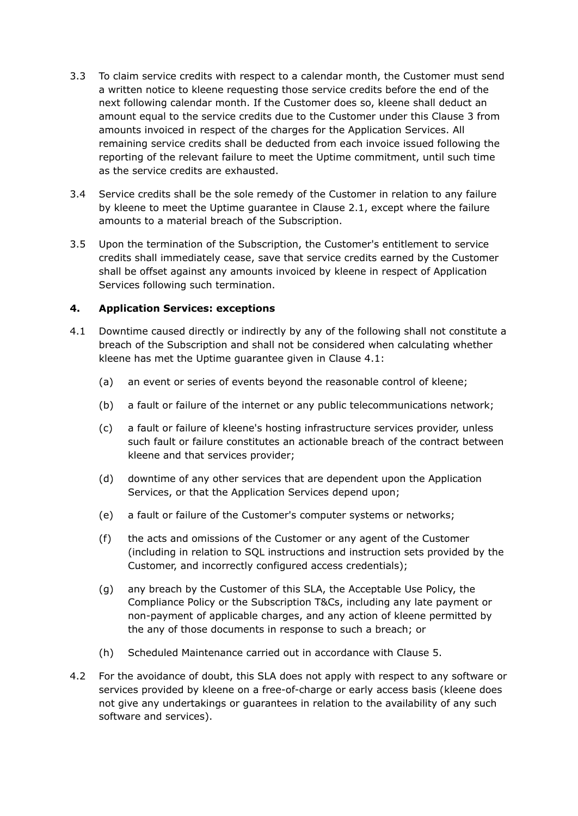- 3.3 To claim service credits with respect to a calendar month, the Customer must send a written notice to kleene requesting those service credits before the end of the next following calendar month. If the Customer does so, kleene shall deduct an amount equal to the service credits due to the Customer under this Clause 3 from amounts invoiced in respect of the charges for the Application Services. All remaining service credits shall be deducted from each invoice issued following the reporting of the relevant failure to meet the Uptime commitment, until such time as the service credits are exhausted.
- 3.4 Service credits shall be the sole remedy of the Customer in relation to any failure by kleene to meet the Uptime guarantee in Clause 2.1, except where the failure amounts to a material breach of the Subscription.
- 3.5 Upon the termination of the Subscription, the Customer's entitlement to service credits shall immediately cease, save that service credits earned by the Customer shall be offset against any amounts invoiced by kleene in respect of Application Services following such termination.

# **4. Application Services: exceptions**

- 4.1 Downtime caused directly or indirectly by any of the following shall not constitute a breach of the Subscription and shall not be considered when calculating whether kleene has met the Uptime guarantee given in Clause 4.1:
	- (a) an event or series of events beyond the reasonable control of kleene;
	- (b) a fault or failure of the internet or any public telecommunications network;
	- (c) a fault or failure of kleene's hosting infrastructure services provider, unless such fault or failure constitutes an actionable breach of the contract between kleene and that services provider;
	- (d) downtime of any other services that are dependent upon the Application Services, or that the Application Services depend upon;
	- (e) a fault or failure of the Customer's computer systems or networks;
	- (f) the acts and omissions of the Customer or any agent of the Customer (including in relation to SQL instructions and instruction sets provided by the Customer, and incorrectly configured access credentials);
	- (g) any breach by the Customer of this SLA, the Acceptable Use Policy, the Compliance Policy or the Subscription T&Cs, including any late payment or non-payment of applicable charges, and any action of kleene permitted by the any of those documents in response to such a breach; or
	- (h) Scheduled Maintenance carried out in accordance with Clause 5.
- 4.2 For the avoidance of doubt, this SLA does not apply with respect to any software or services provided by kleene on a free-of-charge or early access basis (kleene does not give any undertakings or guarantees in relation to the availability of any such software and services).